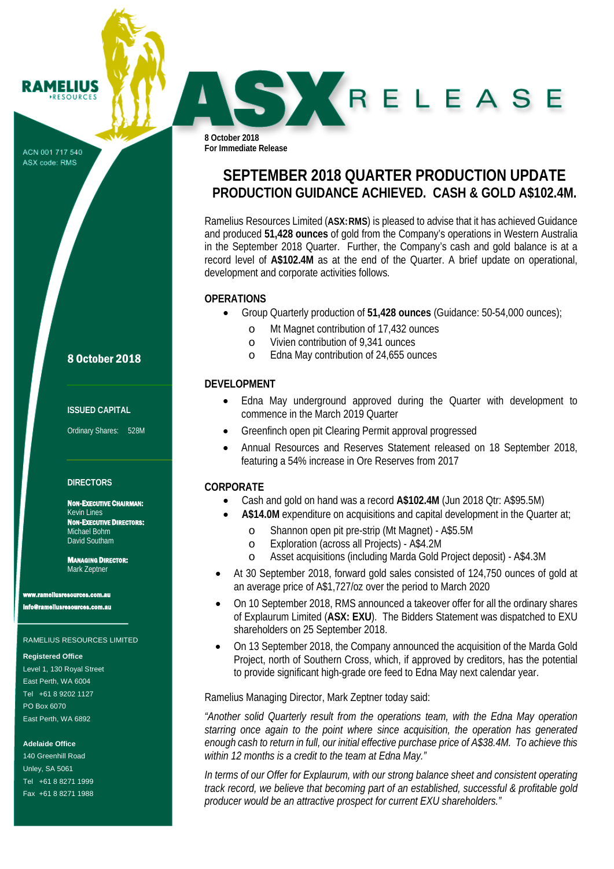ACN 001 717 540 ASX code: RMS

**RAMELIUS RESOURCES** 

8 October 2018

#### **ISSUED CAPITAL**

Ordinary Shares: 528M

#### **DIRECTORS**

NON-EXECUTIVE CHAIRMAN: Kevin Lines NON-EXECUTIVE DIRECTORS: Michael Bohm David Southam

MANAGING DIRECTOR: Mark Zeptner

ww.<br>www.com.au

info@rameliusresources.com.au

#### RAMELIUS RESOURCES LIMITED

#### **Registered Office**

Level 1, 130 Royal Street East Perth, WA 6004 Tel +61 8 9202 1127 PO Box 6070 East Perth, WA 6892

**Adelaide Office**

140 Greenhill Road Unley, SA 5061 Tel +61 8 8271 1999 Fax +61 8 8271 1988 **8 October 2018 For Immediate Release**

# **SEPTEMBER 2018 QUARTER PRODUCTION UPDATE PRODUCTION GUIDANCE ACHIEVED. CASH & GOLD A\$102.4M.**

SKRELEASE

Ramelius Resources Limited (**ASX:RMS**) is pleased to advise that it has achieved Guidance and produced **51,428 ounces** of gold from the Company's operations in Western Australia in the September 2018 Quarter. Further, the Company's cash and gold balance is at a record level of **A\$102.4M** as at the end of the Quarter. A brief update on operational, development and corporate activities follows.

#### **OPERATIONS**

- Group Quarterly production of **51,428 ounces** (Guidance: 50-54,000 ounces);
	- o Mt Magnet contribution of 17,432 ounces<br>
	o Vivien contribution of 9.341 ounces
	- Vivien contribution of 9,341 ounces
	- o Edna May contribution of 24,655 ounces

#### **DEVELOPMENT**

- Edna May underground approved during the Quarter with development to commence in the March 2019 Quarter
- Greenfinch open pit Clearing Permit approval progressed
- Annual Resources and Reserves Statement released on 18 September 2018, featuring a 54% increase in Ore Reserves from 2017

#### **CORPORATE**

- Cash and gold on hand was a record **A\$102.4M** (Jun 2018 Qtr: A\$95.5M)
- **A\$14.0M** expenditure on acquisitions and capital development in the Quarter at;
	- o Shannon open pit pre-strip (Mt Magnet) A\$5.5M
	- o Exploration (across all Projects) A\$4.2M
	- Asset acquisitions (including Marda Gold Project deposit) A\$4.3M
- At 30 September 2018, forward gold sales consisted of 124,750 ounces of gold at an average price of A\$1,727/oz over the period to March 2020
- On 10 September 2018, RMS announced a takeover offer for all the ordinary shares of Explaurum Limited (**ASX: EXU**). The Bidders Statement was dispatched to EXU shareholders on 25 September 2018.
- On 13 September 2018, the Company announced the acquisition of the Marda Gold Project, north of Southern Cross, which, if approved by creditors, has the potential to provide significant high-grade ore feed to Edna May next calendar year.

Ramelius Managing Director, Mark Zeptner today said:

*"Another solid Quarterly result from the operations team, with the Edna May operation starring once again to the point where since acquisition, the operation has generated enough cash to return in full, our initial effective purchase price of A\$38.4M. To achieve this within 12 months is a credit to the team at Edna May."*

*In terms of our Offer for Explaurum, with our strong balance sheet and consistent operating track record, we believe that becoming part of an established, successful & profitable gold producer would be an attractive prospect for current EXU shareholders."*